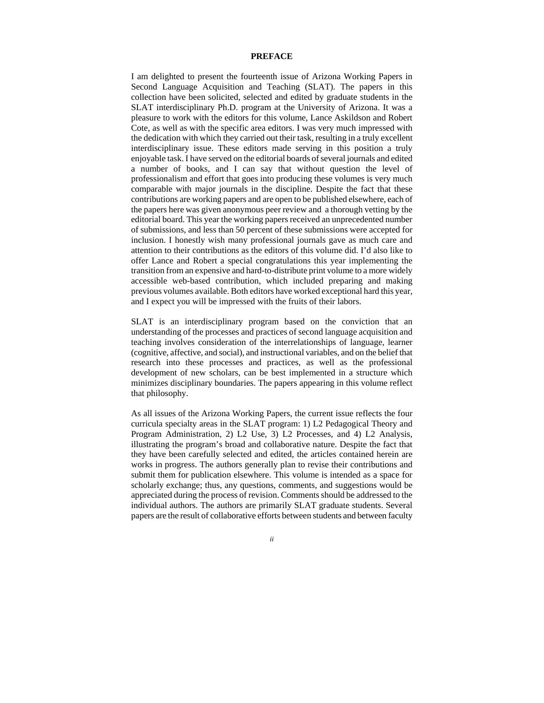## **PREFACE**

I am delighted to present the fourteenth issue of Arizona Working Papers in Second Language Acquisition and Teaching (SLAT). The papers in this collection have been solicited, selected and edited by graduate students in the SLAT interdisciplinary Ph.D. program at the University of Arizona. It was a pleasure to work with the editors for this volume, Lance Askildson and Robert Cote, as well as with the specific area editors. I was very much impressed with the dedication with which they carried out their task, resulting in a truly excellent interdisciplinary issue. These editors made serving in this position a truly enjoyable task. I have served on the editorial boards of several journals and edited a number of books, and I can say that without question the level of professionalism and effort that goes into producing these volumes is very much comparable with major journals in the discipline. Despite the fact that these contributions are working papers and are open to be published elsewhere, each of the papers here was given anonymous peer review and a thorough vetting by the editorial board. This year the working papers received an unprecedented number of submissions, and less than 50 percent of these submissions were accepted for inclusion. I honestly wish many professional journals gave as much care and attention to their contributions as the editors of this volume did. I'd also like to offer Lance and Robert a special congratulations this year implementing the transition from an expensive and hard-to-distribute print volume to a more widely accessible web-based contribution, which included preparing and making previous volumes available. Both editors have worked exceptional hard this year, and I expect you will be impressed with the fruits of their labors.

SLAT is an interdisciplinary program based on the conviction that an understanding of the processes and practices of second language acquisition and teaching involves consideration of the interrelationships of language, learner (cognitive, affective, and social), and instructional variables, and on the belief that research into these processes and practices, as well as the professional development of new scholars, can be best implemented in a structure which minimizes disciplinary boundaries. The papers appearing in this volume reflect that philosophy.

As all issues of the Arizona Working Papers, the current issue reflects the four curricula specialty areas in the SLAT program: 1) L2 Pedagogical Theory and Program Administration, 2) L2 Use, 3) L2 Processes, and 4) L2 Analysis, illustrating the program's broad and collaborative nature. Despite the fact that they have been carefully selected and edited, the articles contained herein are works in progress. The authors generally plan to revise their contributions and submit them for publication elsewhere. This volume is intended as a space for scholarly exchange; thus, any questions, comments, and suggestions would be appreciated during the process of revision. Comments should be addressed to the individual authors. The authors are primarily SLAT graduate students. Several papers are the result of collaborative efforts between students and between faculty